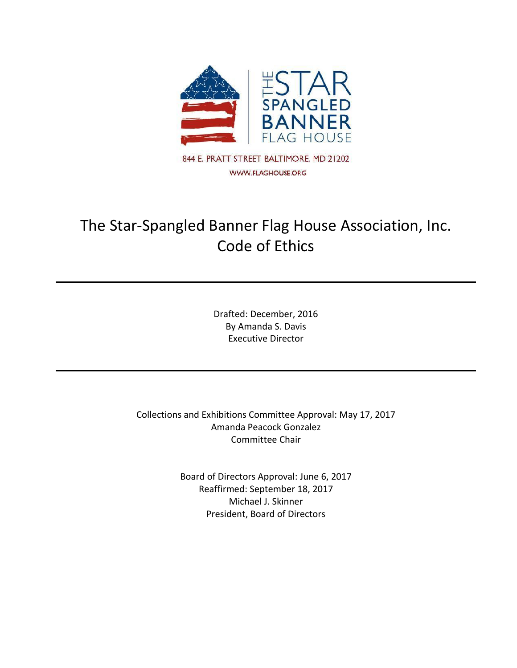

# The Star-Spangled Banner Flag House Association, Inc. Code of Ethics

Drafted: December, 2016 By Amanda S. Davis Executive Director

Collections and Exhibitions Committee Approval: May 17, 2017 Amanda Peacock Gonzalez Committee Chair

> Board of Directors Approval: June 6, 2017 Reaffirmed: September 18, 2017 Michael J. Skinner President, Board of Directors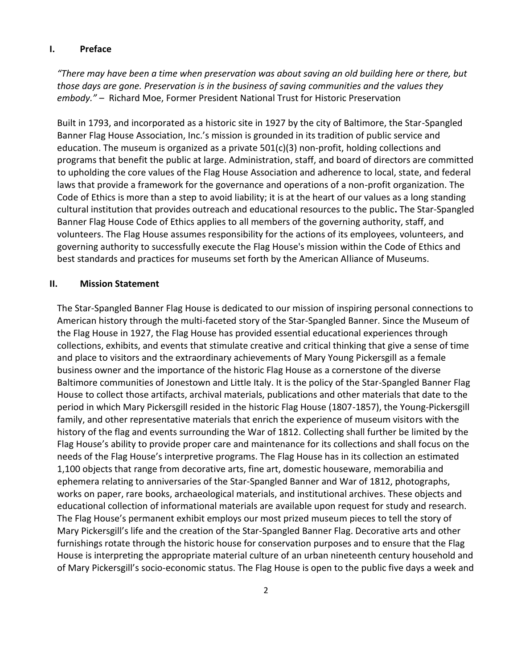#### **I. Preface**

*"There may have been a time when preservation was about saving an old building here or there, but those days are gone. Preservation is in the business of saving communities and the values they embody."* – Richard Moe, Former President National Trust for Historic Preservation

Built in 1793, and incorporated as a historic site in 1927 by the city of Baltimore, the Star-Spangled Banner Flag House Association, Inc.'s mission is grounded in its tradition of public service and education. The museum is organized as a private 501(c)(3) non-profit, holding collections and programs that benefit the public at large. Administration, staff, and board of directors are committed to upholding the core values of the Flag House Association and adherence to local, state, and federal laws that provide a framework for the governance and operations of a non-profit organization. The Code of Ethics is more than a step to avoid liability; it is at the heart of our values as a long standing cultural institution that provides outreach and educational resources to the public**.** The Star-Spangled Banner Flag House Code of Ethics applies to all members of the governing authority, staff, and volunteers. The Flag House assumes responsibility for the actions of its employees, volunteers, and governing authority to successfully execute the Flag House's mission within the Code of Ethics and best standards and practices for museums set forth by the American Alliance of Museums.

#### **II. Mission Statement**

The Star-Spangled Banner Flag House is dedicated to our mission of inspiring personal connections to American history through the multi-faceted story of the Star-Spangled Banner. Since the Museum of the Flag House in 1927, the Flag House has provided essential educational experiences through collections, exhibits, and events that stimulate creative and critical thinking that give a sense of time and place to visitors and the extraordinary achievements of Mary Young Pickersgill as a female business owner and the importance of the historic Flag House as a cornerstone of the diverse Baltimore communities of Jonestown and Little Italy. It is the policy of the Star-Spangled Banner Flag House to collect those artifacts, archival materials, publications and other materials that date to the period in which Mary Pickersgill resided in the historic Flag House (1807-1857), the Young-Pickersgill family, and other representative materials that enrich the experience of museum visitors with the history of the flag and events surrounding the War of 1812. Collecting shall further be limited by the Flag House's ability to provide proper care and maintenance for its collections and shall focus on the needs of the Flag House's interpretive programs. The Flag House has in its collection an estimated 1,100 objects that range from decorative arts, fine art, domestic houseware, memorabilia and ephemera relating to anniversaries of the Star-Spangled Banner and War of 1812, photographs, works on paper, rare books, archaeological materials, and institutional archives. These objects and educational collection of informational materials are available upon request for study and research. The Flag House's permanent exhibit employs our most prized museum pieces to tell the story of Mary Pickersgill's life and the creation of the Star-Spangled Banner Flag. Decorative arts and other furnishings rotate through the historic house for conservation purposes and to ensure that the Flag House is interpreting the appropriate material culture of an urban nineteenth century household and of Mary Pickersgill's socio-economic status. The Flag House is open to the public five days a week and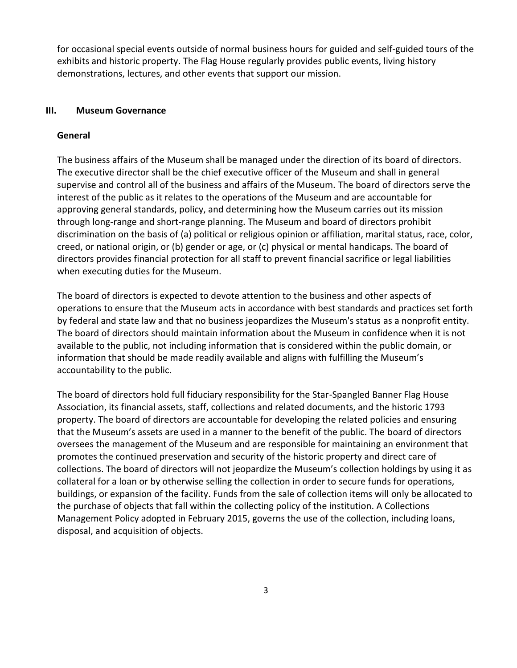for occasional special events outside of normal business hours for guided and self-guided tours of the exhibits and historic property. The Flag House regularly provides public events, living history demonstrations, lectures, and other events that support our mission.

### **III. Museum Governance**

#### **General**

The business affairs of the Museum shall be managed under the direction of its board of directors. The executive director shall be the chief executive officer of the Museum and shall in general supervise and control all of the business and affairs of the Museum. The board of directors serve the interest of the public as it relates to the operations of the Museum and are accountable for approving general standards, policy, and determining how the Museum carries out its mission through long-range and short-range planning. The Museum and board of directors prohibit discrimination on the basis of (a) political or religious opinion or affiliation, marital status, race, color, creed, or national origin, or (b) gender or age, or (c) physical or mental handicaps. The board of directors provides financial protection for all staff to prevent financial sacrifice or legal liabilities when executing duties for the Museum.

The board of directors is expected to devote attention to the business and other aspects of operations to ensure that the Museum acts in accordance with best standards and practices set forth by federal and state law and that no business jeopardizes the Museum's status as a nonprofit entity. The board of directors should maintain information about the Museum in confidence when it is not available to the public, not including information that is considered within the public domain, or information that should be made readily available and aligns with fulfilling the Museum's accountability to the public.

The board of directors hold full fiduciary responsibility for the Star-Spangled Banner Flag House Association, its financial assets, staff, collections and related documents, and the historic 1793 property. The board of directors are accountable for developing the related policies and ensuring that the Museum's assets are used in a manner to the benefit of the public. The board of directors oversees the management of the Museum and are responsible for maintaining an environment that promotes the continued preservation and security of the historic property and direct care of collections. The board of directors will not jeopardize the Museum's collection holdings by using it as collateral for a loan or by otherwise selling the collection in order to secure funds for operations, buildings, or expansion of the facility. Funds from the sale of collection items will only be allocated to the purchase of objects that fall within the collecting policy of the institution. A Collections Management Policy adopted in February 2015, governs the use of the collection, including loans, disposal, and acquisition of objects.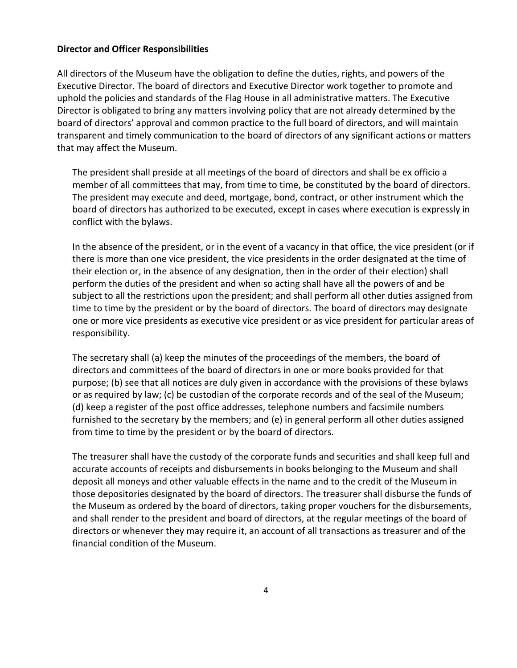#### **Director and Officer Responsibilities**

All directors of the Museum have the obligation to define the duties, rights, and powers of the Executive Director. The board of directors and Executive Director work together to promote and uphold the policies and standards of the Flag House in all administrative matters. The Executive Director is obligated to bring any matters involving policy that are not already determined by the board of directors' approval and common practice to the full board of directors, and will maintain transparent and timely communication to the board of directors of any significant actions or matters that may affect the Museum.

The president shall preside at all meetings of the board of directors and shall be ex officio a member of all committees that may, from time to time, be constituted by the board of directors. The president may execute and deed, mortgage, bond, contract, or other instrument which the board of directors has authorized to be executed, except in cases where execution is expressly in conflict with the bylaws.

In the absence of the president, or in the event of a vacancy in that office, the vice president (or if there is more than one vice president, the vice presidents in the order designated at the time of their election or, in the absence of any designation, then in the order of their election) shall perform the duties of the president and when so acting shall have all the powers of and be subject to all the restrictions upon the president; and shall perform all other duties assigned from time to time by the president or by the board of directors. The board of directors may designate one or more vice presidents as executive vice president or as vice president for particular areas of responsibility.

The secretary shall (a) keep the minutes of the proceedings of the members, the board of directors and committees of the board of directors in one or more books provided for that purpose; (b) see that all notices are duly given in accordance with the provisions of these bylaws or as required by law; (c) be custodian of the corporate records and of the seal of the Museum; (d) keep a register of the post office addresses, telephone numbers and facsimile numbers furnished to the secretary by the members; and (e) in general perform all other duties assigned from time to time by the president or by the board of directors.

The treasurer shall have the custody of the corporate funds and securities and shall keep full and accurate accounts of receipts and disbursements in books belonging to the Museum and shall deposit all moneys and other valuable effects in the name and to the credit of the Museum in those depositories designated by the board of directors. The treasurer shall disburse the funds of the Museum as ordered by the board of directors, taking proper vouchers for the disbursements, and shall render to the president and board of directors, at the regular meetings of the board of directors or whenever they may require it, an account of all transactions as treasurer and of the financial condition of the Museum.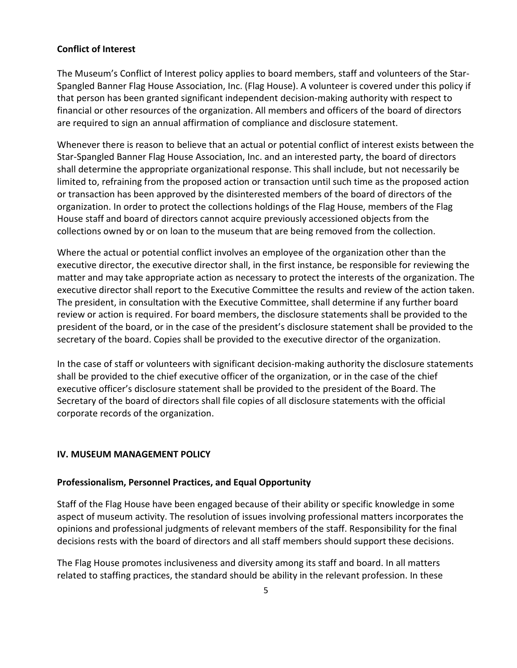## **Conflict of Interest**

The Museum's Conflict of Interest policy applies to board members, staff and volunteers of the Star-Spangled Banner Flag House Association, Inc. (Flag House). A volunteer is covered under this policy if that person has been granted significant independent decision-making authority with respect to financial or other resources of the organization. All members and officers of the board of directors are required to sign an annual affirmation of compliance and disclosure statement.

Whenever there is reason to believe that an actual or potential conflict of interest exists between the Star-Spangled Banner Flag House Association, Inc. and an interested party, the board of directors shall determine the appropriate organizational response. This shall include, but not necessarily be limited to, refraining from the proposed action or transaction until such time as the proposed action or transaction has been approved by the disinterested members of the board of directors of the organization. In order to protect the collections holdings of the Flag House, members of the Flag House staff and board of directors cannot acquire previously accessioned objects from the collections owned by or on loan to the museum that are being removed from the collection.

Where the actual or potential conflict involves an employee of the organization other than the executive director, the executive director shall, in the first instance, be responsible for reviewing the matter and may take appropriate action as necessary to protect the interests of the organization. The executive director shall report to the Executive Committee the results and review of the action taken. The president, in consultation with the Executive Committee, shall determine if any further board review or action is required. For board members, the disclosure statements shall be provided to the president of the board, or in the case of the president's disclosure statement shall be provided to the secretary of the board. Copies shall be provided to the executive director of the organization.

In the case of staff or volunteers with significant decision-making authority the disclosure statements shall be provided to the chief executive officer of the organization, or in the case of the chief executive officer's disclosure statement shall be provided to the president of the Board. The Secretary of the board of directors shall file copies of all disclosure statements with the official corporate records of the organization.

#### **IV. MUSEUM MANAGEMENT POLICY**

#### **Professionalism, Personnel Practices, and Equal Opportunity**

Staff of the Flag House have been engaged because of their ability or specific knowledge in some aspect of museum activity. The resolution of issues involving professional matters incorporates the opinions and professional judgments of relevant members of the staff. Responsibility for the final decisions rests with the board of directors and all staff members should support these decisions.

The Flag House promotes inclusiveness and diversity among its staff and board. In all matters related to staffing practices, the standard should be ability in the relevant profession. In these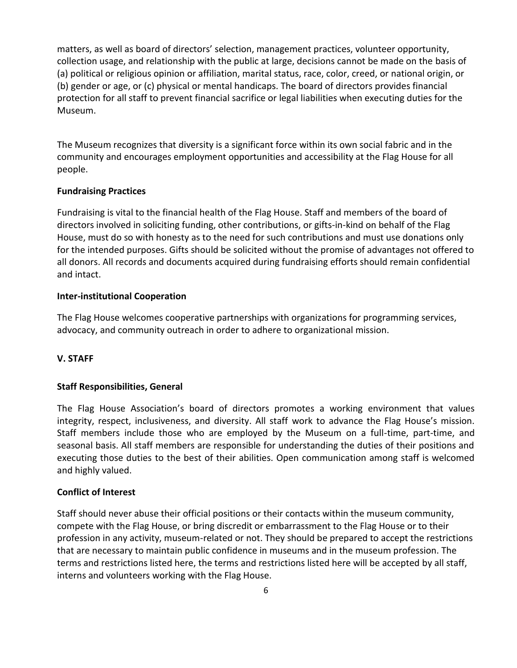matters, as well as board of directors' selection, management practices, volunteer opportunity, collection usage, and relationship with the public at large, decisions cannot be made on the basis of (a) political or religious opinion or affiliation, marital status, race, color, creed, or national origin, or (b) gender or age, or (c) physical or mental handicaps. The board of directors provides financial protection for all staff to prevent financial sacrifice or legal liabilities when executing duties for the Museum.

The Museum recognizes that diversity is a significant force within its own social fabric and in the community and encourages employment opportunities and accessibility at the Flag House for all people.

## **Fundraising Practices**

Fundraising is vital to the financial health of the Flag House. Staff and members of the board of directors involved in soliciting funding, other contributions, or gifts-in-kind on behalf of the Flag House, must do so with honesty as to the need for such contributions and must use donations only for the intended purposes. Gifts should be solicited without the promise of advantages not offered to all donors. All records and documents acquired during fundraising efforts should remain confidential and intact.

### **Inter-institutional Cooperation**

The Flag House welcomes cooperative partnerships with organizations for programming services, advocacy, and community outreach in order to adhere to organizational mission.

## **V. STAFF**

## **Staff Responsibilities, General**

The Flag House Association's board of directors promotes a working environment that values integrity, respect, inclusiveness, and diversity. All staff work to advance the Flag House's mission. Staff members include those who are employed by the Museum on a full-time, part-time, and seasonal basis. All staff members are responsible for understanding the duties of their positions and executing those duties to the best of their abilities. Open communication among staff is welcomed and highly valued.

#### **Conflict of Interest**

Staff should never abuse their official positions or their contacts within the museum community, compete with the Flag House, or bring discredit or embarrassment to the Flag House or to their profession in any activity, museum-related or not. They should be prepared to accept the restrictions that are necessary to maintain public confidence in museums and in the museum profession. The terms and restrictions listed here, the terms and restrictions listed here will be accepted by all staff, interns and volunteers working with the Flag House.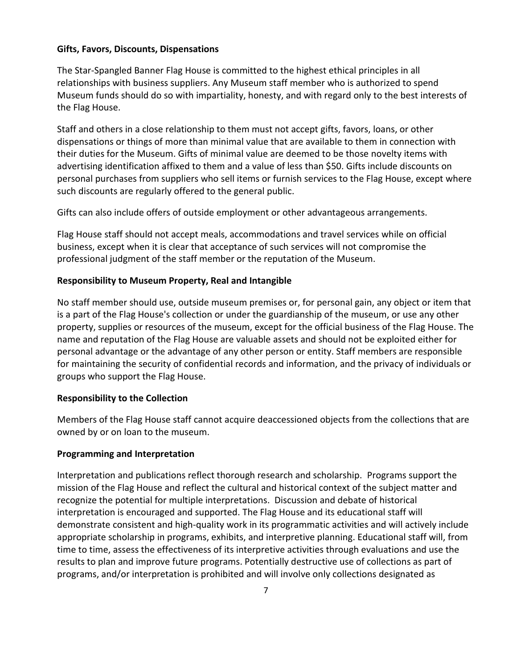#### **Gifts, Favors, Discounts, Dispensations**

The Star-Spangled Banner Flag House is committed to the highest ethical principles in all relationships with business suppliers. Any Museum staff member who is authorized to spend Museum funds should do so with impartiality, honesty, and with regard only to the best interests of the Flag House.

Staff and others in a close relationship to them must not accept gifts, favors, loans, or other dispensations or things of more than minimal value that are available to them in connection with their duties for the Museum. Gifts of minimal value are deemed to be those novelty items with advertising identification affixed to them and a value of less than \$50. Gifts include discounts on personal purchases from suppliers who sell items or furnish services to the Flag House, except where such discounts are regularly offered to the general public.

Gifts can also include offers of outside employment or other advantageous arrangements.

Flag House staff should not accept meals, accommodations and travel services while on official business, except when it is clear that acceptance of such services will not compromise the professional judgment of the staff member or the reputation of the Museum.

### **Responsibility to Museum Property, Real and Intangible**

No staff member should use, outside museum premises or, for personal gain, any object or item that is a part of the Flag House's collection or under the guardianship of the museum, or use any other property, supplies or resources of the museum, except for the official business of the Flag House. The name and reputation of the Flag House are valuable assets and should not be exploited either for personal advantage or the advantage of any other person or entity. Staff members are responsible for maintaining the security of confidential records and information, and the privacy of individuals or groups who support the Flag House.

#### **Responsibility to the Collection**

Members of the Flag House staff cannot acquire deaccessioned objects from the collections that are owned by or on loan to the museum.

#### **Programming and Interpretation**

Interpretation and publications reflect thorough research and scholarship. Programs support the mission of the Flag House and reflect the cultural and historical context of the subject matter and recognize the potential for multiple interpretations. Discussion and debate of historical interpretation is encouraged and supported. The Flag House and its educational staff will demonstrate consistent and high-quality work in its programmatic activities and will actively include appropriate scholarship in programs, exhibits, and interpretive planning. Educational staff will, from time to time, assess the effectiveness of its interpretive activities through evaluations and use the results to plan and improve future programs. Potentially destructive use of collections as part of programs, and/or interpretation is prohibited and will involve only collections designated as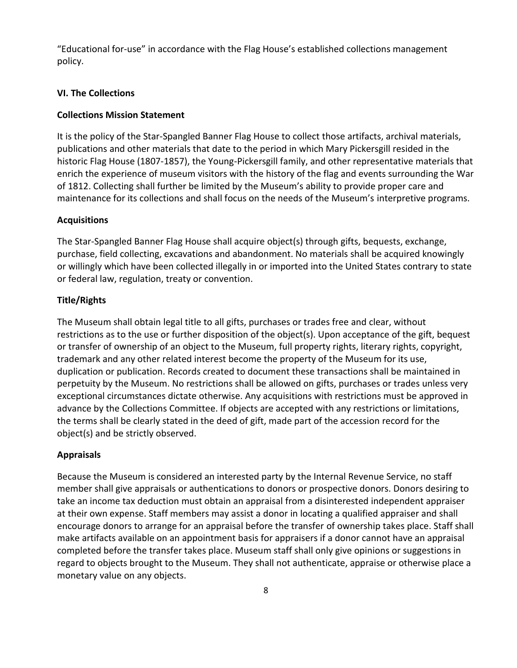"Educational for-use" in accordance with the Flag House's established collections management policy.

## **VI. The Collections**

#### **Collections Mission Statement**

It is the policy of the Star-Spangled Banner Flag House to collect those artifacts, archival materials, publications and other materials that date to the period in which Mary Pickersgill resided in the historic Flag House (1807-1857), the Young-Pickersgill family, and other representative materials that enrich the experience of museum visitors with the history of the flag and events surrounding the War of 1812. Collecting shall further be limited by the Museum's ability to provide proper care and maintenance for its collections and shall focus on the needs of the Museum's interpretive programs.

### **Acquisitions**

The Star-Spangled Banner Flag House shall acquire object(s) through gifts, bequests, exchange, purchase, field collecting, excavations and abandonment. No materials shall be acquired knowingly or willingly which have been collected illegally in or imported into the United States contrary to state or federal law, regulation, treaty or convention.

### **Title/Rights**

The Museum shall obtain legal title to all gifts, purchases or trades free and clear, without restrictions as to the use or further disposition of the object(s). Upon acceptance of the gift, bequest or transfer of ownership of an object to the Museum, full property rights, literary rights, copyright, trademark and any other related interest become the property of the Museum for its use, duplication or publication. Records created to document these transactions shall be maintained in perpetuity by the Museum. No restrictions shall be allowed on gifts, purchases or trades unless very exceptional circumstances dictate otherwise. Any acquisitions with restrictions must be approved in advance by the Collections Committee. If objects are accepted with any restrictions or limitations, the terms shall be clearly stated in the deed of gift, made part of the accession record for the object(s) and be strictly observed.

## **Appraisals**

Because the Museum is considered an interested party by the Internal Revenue Service, no staff member shall give appraisals or authentications to donors or prospective donors. Donors desiring to take an income tax deduction must obtain an appraisal from a disinterested independent appraiser at their own expense. Staff members may assist a donor in locating a qualified appraiser and shall encourage donors to arrange for an appraisal before the transfer of ownership takes place. Staff shall make artifacts available on an appointment basis for appraisers if a donor cannot have an appraisal completed before the transfer takes place. Museum staff shall only give opinions or suggestions in regard to objects brought to the Museum. They shall not authenticate, appraise or otherwise place a monetary value on any objects.